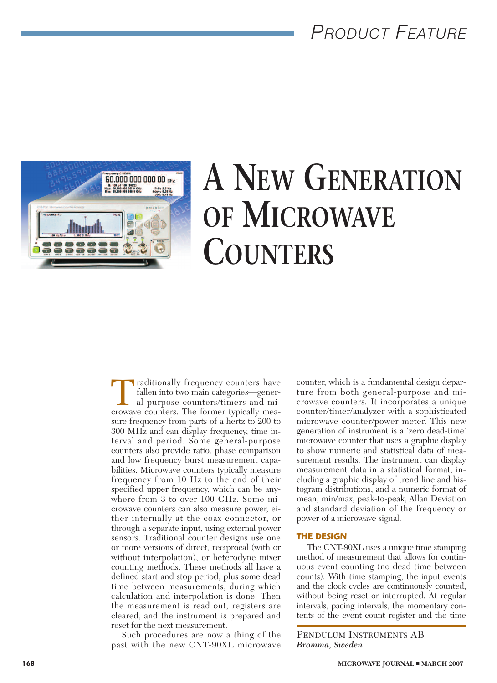## *PRODUCT FEATURE*



# **A NEW GENERATION OF MICROWAVE COUNTERS**

Traditionally frequency counters have fallen into two main categories—gener-<br>al-purpose counters/timers and microwave counters. The former typically meafallen into two main categories—general-purpose counters/timers and misure frequency from parts of a hertz to 200 to 300 MHz and can display frequency, time interval and period. Some general-purpose counters also provide ratio, phase comparison and low frequency burst measurement capabilities. Microwave counters typically measure frequency from 10 Hz to the end of their specified upper frequency, which can be anywhere from 3 to over 100 GHz. Some microwave counters can also measure power, either internally at the coax connector, or through a separate input, using external power sensors. Traditional counter designs use one or more versions of direct, reciprocal (with or without interpolation), or heterodyne mixer counting methods. These methods all have a defined start and stop period, plus some dead time between measurements, during which calculation and interpolation is done. Then the measurement is read out, registers are cleared, and the instrument is prepared and reset for the next measurement.

Such procedures are now a thing of the past with the new CNT90XL microwave counter, which is a fundamental design departure from both general-purpose and microwave counters. It incorporates a unique counter/timer/analyzer with a sophisticated microwave counter/power meter. This new generation of instrument is a 'zero dead-time' microwave counter that uses a graphic display to show numeric and statistical data of measurement results. The instrument can display measurement data in a statistical format, including a graphic display of trend line and histogram distributions, and a numeric format of mean, min/max, peak-to-peak, Allan Deviation and standard deviation of the frequency or power of a microwave signal.

#### **THE DESIGN**

The CNT-90XL uses a unique time stamping method of measurement that allows for continuous event counting (no dead time between counts). With time stamping, the input events and the clock cycles are continuously counted, without being reset or interrupted. At regular intervals, pacing intervals, the momentary contents of the event count register and the time

PENDULUM INSTRUMENTS AB *Bromma, Sweden*